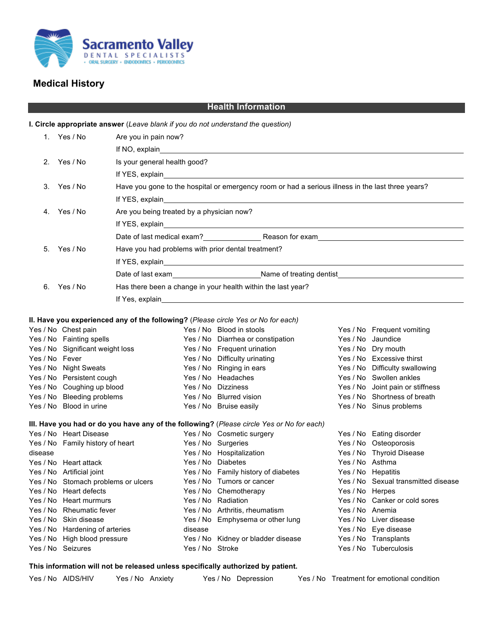

## **Medical History**

| <b>Health Information</b>                                                         |                                                                                                                                                                                                                                |                                                                                                                                                                                                                                |                 |                                                                                                                                                                                                                                |                 |                                                             |  |  |  |  |  |
|-----------------------------------------------------------------------------------|--------------------------------------------------------------------------------------------------------------------------------------------------------------------------------------------------------------------------------|--------------------------------------------------------------------------------------------------------------------------------------------------------------------------------------------------------------------------------|-----------------|--------------------------------------------------------------------------------------------------------------------------------------------------------------------------------------------------------------------------------|-----------------|-------------------------------------------------------------|--|--|--|--|--|
| I. Circle appropriate answer (Leave blank if you do not understand the question)  |                                                                                                                                                                                                                                |                                                                                                                                                                                                                                |                 |                                                                                                                                                                                                                                |                 |                                                             |  |  |  |  |  |
|                                                                                   | 1. Yes / No                                                                                                                                                                                                                    | Are you in pain now?                                                                                                                                                                                                           |                 |                                                                                                                                                                                                                                |                 |                                                             |  |  |  |  |  |
|                                                                                   |                                                                                                                                                                                                                                |                                                                                                                                                                                                                                |                 | If NO, explain and the state of the state of the state of the state of the state of the state of the state of the state of the state of the state of the state of the state of the state of the state of the state of the stat |                 |                                                             |  |  |  |  |  |
| 2.                                                                                | Yes / No                                                                                                                                                                                                                       | Is your general health good?                                                                                                                                                                                                   |                 |                                                                                                                                                                                                                                |                 |                                                             |  |  |  |  |  |
|                                                                                   |                                                                                                                                                                                                                                |                                                                                                                                                                                                                                |                 |                                                                                                                                                                                                                                |                 |                                                             |  |  |  |  |  |
|                                                                                   | 3. Yes / No                                                                                                                                                                                                                    | If YES, explain and the state of the state of the state of the state of the state of the state of the state of the state of the state of the state of the state of the state of the state of the state of the state of the sta |                 |                                                                                                                                                                                                                                |                 |                                                             |  |  |  |  |  |
|                                                                                   |                                                                                                                                                                                                                                | Have you gone to the hospital or emergency room or had a serious illness in the last three years?                                                                                                                              |                 |                                                                                                                                                                                                                                |                 |                                                             |  |  |  |  |  |
|                                                                                   |                                                                                                                                                                                                                                | If YES, explain<br><u> 1989 - Johann Stein, mars an deutscher Stein und der Stein und der Stein und der Stein und der Stein und der</u>                                                                                        |                 |                                                                                                                                                                                                                                |                 |                                                             |  |  |  |  |  |
| 4.                                                                                | Yes / No                                                                                                                                                                                                                       | Are you being treated by a physician now?                                                                                                                                                                                      |                 |                                                                                                                                                                                                                                |                 |                                                             |  |  |  |  |  |
|                                                                                   |                                                                                                                                                                                                                                |                                                                                                                                                                                                                                |                 |                                                                                                                                                                                                                                |                 |                                                             |  |  |  |  |  |
|                                                                                   |                                                                                                                                                                                                                                |                                                                                                                                                                                                                                |                 | Date of last medical exam? Reason for exam                                                                                                                                                                                     |                 |                                                             |  |  |  |  |  |
| 5.                                                                                | Yes / No<br>Have you had problems with prior dental treatment?                                                                                                                                                                 |                                                                                                                                                                                                                                |                 |                                                                                                                                                                                                                                |                 |                                                             |  |  |  |  |  |
|                                                                                   |                                                                                                                                                                                                                                |                                                                                                                                                                                                                                |                 |                                                                                                                                                                                                                                |                 |                                                             |  |  |  |  |  |
|                                                                                   |                                                                                                                                                                                                                                |                                                                                                                                                                                                                                |                 |                                                                                                                                                                                                                                |                 |                                                             |  |  |  |  |  |
| 6.                                                                                | Yes / No                                                                                                                                                                                                                       |                                                                                                                                                                                                                                |                 | Has there been a change in your health within the last year?                                                                                                                                                                   |                 |                                                             |  |  |  |  |  |
|                                                                                   | If Yes, explain and the state of the state of the state of the state of the state of the state of the state of the state of the state of the state of the state of the state of the state of the state of the state of the sta |                                                                                                                                                                                                                                |                 |                                                                                                                                                                                                                                |                 |                                                             |  |  |  |  |  |
|                                                                                   |                                                                                                                                                                                                                                |                                                                                                                                                                                                                                |                 |                                                                                                                                                                                                                                |                 |                                                             |  |  |  |  |  |
| II. Have you experienced any of the following? (Please circle Yes or No for each) |                                                                                                                                                                                                                                |                                                                                                                                                                                                                                |                 |                                                                                                                                                                                                                                |                 |                                                             |  |  |  |  |  |
|                                                                                   | Yes / No Chest pain                                                                                                                                                                                                            |                                                                                                                                                                                                                                |                 | Yes / No Blood in stools                                                                                                                                                                                                       |                 | Yes / No Frequent vomiting                                  |  |  |  |  |  |
|                                                                                   | Yes / No Fainting spells                                                                                                                                                                                                       |                                                                                                                                                                                                                                |                 | Yes / No Diarrhea or constipation                                                                                                                                                                                              |                 | Yes / No Jaundice                                           |  |  |  |  |  |
|                                                                                   | Yes / No Significant weight loss                                                                                                                                                                                               |                                                                                                                                                                                                                                |                 | Yes / No Frequent urination                                                                                                                                                                                                    |                 | Yes / No Dry mouth                                          |  |  |  |  |  |
| Yes / No Fever                                                                    |                                                                                                                                                                                                                                |                                                                                                                                                                                                                                |                 | Yes / No Difficulty urinating<br>Yes / No Ringing in ears                                                                                                                                                                      |                 | Yes / No Excessive thirst<br>Yes / No Difficulty swallowing |  |  |  |  |  |
|                                                                                   | Yes / No Night Sweats<br>Yes / No Persistent cough                                                                                                                                                                             |                                                                                                                                                                                                                                |                 | Yes / No Headaches                                                                                                                                                                                                             |                 | Yes / No Swollen ankles                                     |  |  |  |  |  |
|                                                                                   | Yes / No Coughing up blood                                                                                                                                                                                                     |                                                                                                                                                                                                                                |                 | Yes / No Dizziness                                                                                                                                                                                                             |                 | Yes / No Joint pain or stiffness                            |  |  |  |  |  |
|                                                                                   | Yes / No Bleeding problems                                                                                                                                                                                                     |                                                                                                                                                                                                                                |                 | Yes / No Blurred vision                                                                                                                                                                                                        |                 | Yes / No Shortness of breath                                |  |  |  |  |  |
|                                                                                   | Yes / No Blood in urine                                                                                                                                                                                                        |                                                                                                                                                                                                                                |                 | Yes / No Bruise easily                                                                                                                                                                                                         |                 | Yes / No Sinus problems                                     |  |  |  |  |  |
|                                                                                   |                                                                                                                                                                                                                                |                                                                                                                                                                                                                                |                 |                                                                                                                                                                                                                                |                 |                                                             |  |  |  |  |  |
|                                                                                   | Yes / No Heart Disease                                                                                                                                                                                                         |                                                                                                                                                                                                                                |                 | III. Have you had or do you have any of the following? (Please circle Yes or No for each)<br>Yes / No Cosmetic surgery                                                                                                         |                 | Yes / No Eating disorder                                    |  |  |  |  |  |
|                                                                                   | Yes / No Family history of heart                                                                                                                                                                                               |                                                                                                                                                                                                                                |                 | Yes / No Surgeries                                                                                                                                                                                                             |                 | Yes / No Osteoporosis                                       |  |  |  |  |  |
| disease                                                                           |                                                                                                                                                                                                                                |                                                                                                                                                                                                                                |                 | Yes / No Hospitalization                                                                                                                                                                                                       |                 | Yes / No Thyroid Disease                                    |  |  |  |  |  |
|                                                                                   | Yes / No Heart attack                                                                                                                                                                                                          |                                                                                                                                                                                                                                |                 | Yes / No Diabetes                                                                                                                                                                                                              |                 | Yes / No Asthma                                             |  |  |  |  |  |
|                                                                                   | Yes / No Artificial joint                                                                                                                                                                                                      |                                                                                                                                                                                                                                |                 | Yes / No Family history of diabetes                                                                                                                                                                                            |                 | Yes / No Hepatitis                                          |  |  |  |  |  |
|                                                                                   | Yes / No Stomach problems or ulcers                                                                                                                                                                                            |                                                                                                                                                                                                                                |                 | Yes / No Tumors or cancer                                                                                                                                                                                                      |                 | Yes / No Sexual transmitted disease                         |  |  |  |  |  |
|                                                                                   | Yes / No Heart defects                                                                                                                                                                                                         |                                                                                                                                                                                                                                |                 | Yes / No Chemotherapy                                                                                                                                                                                                          | Yes / No Herpes |                                                             |  |  |  |  |  |
|                                                                                   | Yes / No Heart murmurs                                                                                                                                                                                                         |                                                                                                                                                                                                                                |                 | Yes / No Radiation                                                                                                                                                                                                             |                 | Yes / No Canker or cold sores                               |  |  |  |  |  |
|                                                                                   | Yes / No Rheumatic fever                                                                                                                                                                                                       |                                                                                                                                                                                                                                |                 | Yes / No Arthritis, rheumatism                                                                                                                                                                                                 | Yes / No Anemia |                                                             |  |  |  |  |  |
|                                                                                   | Yes / No Skin disease                                                                                                                                                                                                          |                                                                                                                                                                                                                                |                 | Yes / No Emphysema or other lung                                                                                                                                                                                               |                 | Yes / No Liver disease                                      |  |  |  |  |  |
|                                                                                   | Yes / No Hardening of arteries<br>Yes / No High blood pressure                                                                                                                                                                 |                                                                                                                                                                                                                                | disease         | Yes / No Kidney or bladder disease                                                                                                                                                                                             |                 | Yes / No Eye disease<br>Yes / No Transplants                |  |  |  |  |  |
|                                                                                   | Yes / No Seizures                                                                                                                                                                                                              |                                                                                                                                                                                                                                | Yes / No Stroke |                                                                                                                                                                                                                                |                 | Yes / No Tuberculosis                                       |  |  |  |  |  |
|                                                                                   |                                                                                                                                                                                                                                |                                                                                                                                                                                                                                |                 |                                                                                                                                                                                                                                |                 |                                                             |  |  |  |  |  |

## **This information will not be released unless specifically authorized by patient.**

- 
- 

Yes / No AIDS/HIV Yes / No Anxiety Yes / No Depression Yes / No Treatment for emotional condition